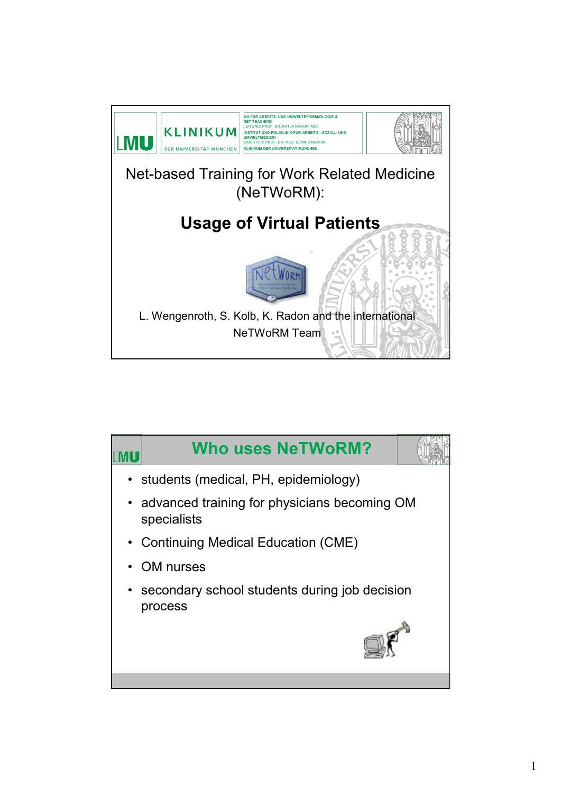

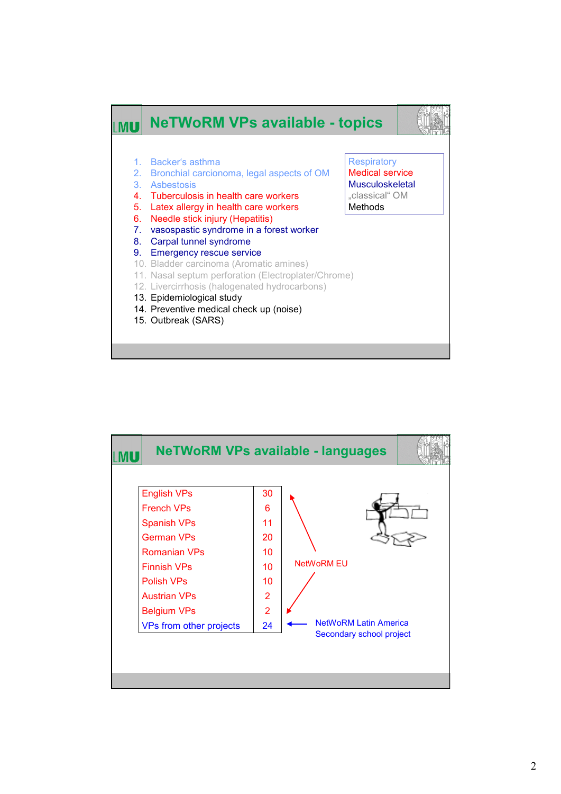

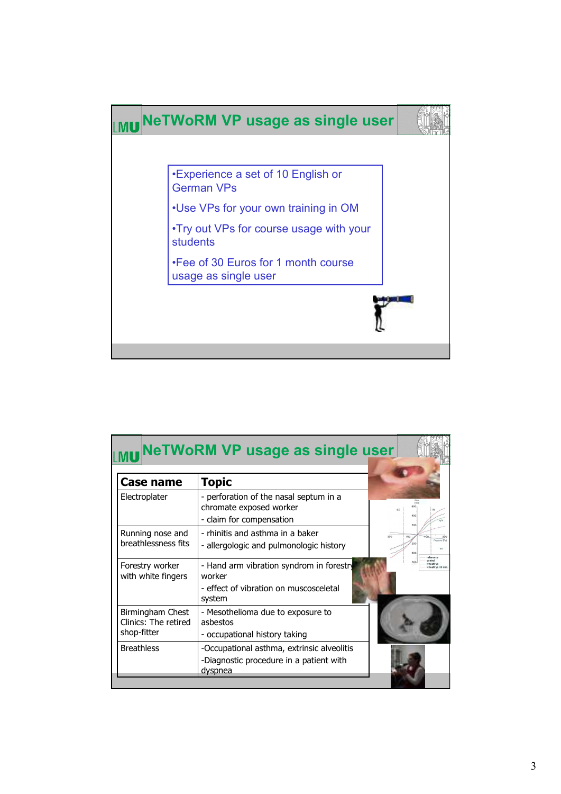

|                                                         | <b>NeTWoRM VP usage as single user</b>                                                                 |                                          |
|---------------------------------------------------------|--------------------------------------------------------------------------------------------------------|------------------------------------------|
| <b>Case name</b>                                        | <b>Topic</b>                                                                                           |                                          |
| Electroplater                                           | - perforation of the nasal septum in a<br>chromate exposed worker<br>- claim for compensation          | (m/s)<br>EX<br>400.                      |
| Running nose and<br>breathlessness fits                 | - rhinitis and asthma in a baker<br>300<br>- allergologic and pulmonologic history                     | 100<br>Pressure (Pa)<br>200<br>reference |
| Forestry worker<br>with white fingers                   | - Hand arm vibration syndrom in forestry<br>worker<br>- effect of vibration on muscosceletal<br>system | control<br>heat/rye<br>wheat/rve 30 min  |
| Birmingham Chest<br>Clinics: The retired<br>shop-fitter | - Mesothelioma due to exposure to<br>ashestos<br>- occupational history taking                         |                                          |
| <b>Breathless</b>                                       | -Occupational asthma, extrinsic alveolitis<br>-Diagnostic procedure in a patient with<br>dyspnea       |                                          |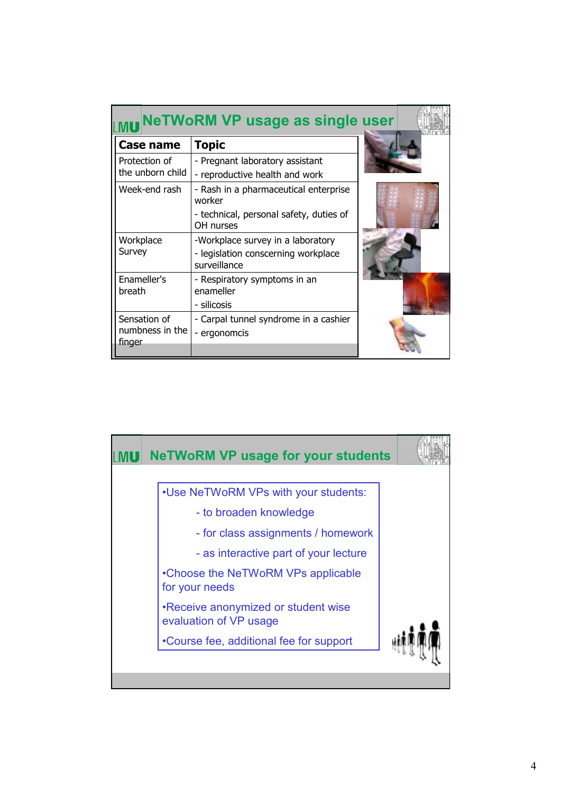|                                           | <b>NeTWoRM VP usage as single user</b>                            |  |
|-------------------------------------------|-------------------------------------------------------------------|--|
| Case name                                 | <b>Topic</b>                                                      |  |
| Protection of<br>the unborn child         | - Pregnant laboratory assistant<br>- reproductive health and work |  |
| Week-end rash                             | - Rash in a pharmaceutical enterprise<br>worker                   |  |
|                                           | - technical, personal safety, duties of<br>OH nurses              |  |
| Workplace                                 | -Workplace survey in a laboratory                                 |  |
| Survey                                    | - legislation conscerning workplace<br>surveillance               |  |
| Enameller's<br>breath                     | - Respiratory symptoms in an<br>enameller                         |  |
|                                           | - silicosis                                                       |  |
| Sensation of<br>numbness in the<br>finger | - Carpal tunnel syndrome in a cashier<br>- ergonomcis             |  |
|                                           |                                                                   |  |

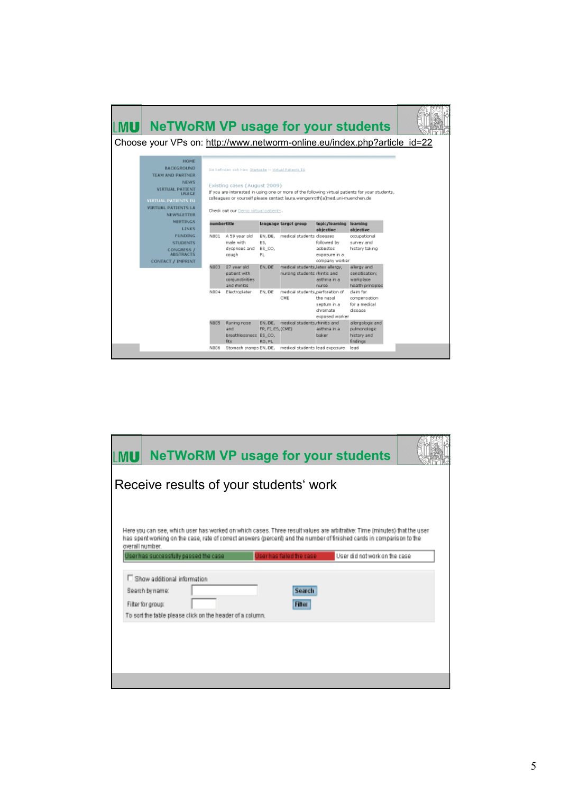| <b>NeTWoRM VP usage for your students</b><br>MUI                                                                                                                                                      |             |                                                                                                                                |                                        |                                                                               |                                                            |                                                                                                 |  |
|-------------------------------------------------------------------------------------------------------------------------------------------------------------------------------------------------------|-------------|--------------------------------------------------------------------------------------------------------------------------------|----------------------------------------|-------------------------------------------------------------------------------|------------------------------------------------------------|-------------------------------------------------------------------------------------------------|--|
| Choose your VPs on: http://www.networm-online.eu/index.php?article_id=22                                                                                                                              |             |                                                                                                                                |                                        |                                                                               |                                                            |                                                                                                 |  |
| <b>HOME</b><br><b>BACKGROUND</b><br><b>TEAM AND PARTNER</b><br><b>NEWS</b><br><b>VIRTUAL PATIENT</b><br><b>USAGE</b><br><b>VIRTUAL PATIENTS EU</b><br><b>VIRTUAL PATIENTS LA</b><br><b>NEWSLETTER</b> |             | Sie befinden sich hien Startreibe » Wrtual Patients EU<br>Existing cases (August 2009)<br>Check out our Demo virtual patients. |                                        | colleagues or yourself please contact laura, wengenroth(a)med.uni-muenchen.de |                                                            | If you are interested in using one or more of the following virtual patients for your students. |  |
| <b>MEETINGS</b><br><b>LINKS</b>                                                                                                                                                                       |             | umbertitle                                                                                                                     |                                        | language target group                                                         | topic/learning<br>objective                                | <b>learning</b><br>objective                                                                    |  |
| <b>FUNDING</b><br><b>STUDENTS</b><br><b>CONGRESS /</b><br><b>ABSTRACTS</b>                                                                                                                            | NO01        | A 59 year old<br>male with<br>dyspnoes and<br>cough                                                                            | EN. DE.<br>ES.<br>ES CO.<br>PL.        | medical students diseases                                                     | followed by<br>asbestos<br>exposure in a<br>company worker | occupational<br>survey and<br>history taking                                                    |  |
| <b>CONTACT / IMPRINT</b>                                                                                                                                                                              | EDDN        | 27 year old<br>patient with<br>conjunctivities<br>and rhinitis                                                                 | EN, DE                                 | medical students, latex allergy,<br>nursing students rhintis and              | asthma in all<br>nurse                                     | allergy and<br>sensitisation:<br>workplace<br>health principles                                 |  |
|                                                                                                                                                                                                       | N004        | Electroplater                                                                                                                  | EN. DE                                 | medical students, perforation of<br>CME                                       | the nasal<br>septum in a<br>dhromate<br>exposed worker     | claim for<br>compensation<br>for a medical<br>disease                                           |  |
|                                                                                                                                                                                                       | <b>NO05</b> | Runing nose<br>and<br>breathlessness ES_CO,<br>डिड                                                                             | EN. DE.<br>FR, FL, ES, (CME)<br>RO. PL | medical students, rhinitis and                                                | asthma in a<br>baker                                       | allergologic and<br>pulmonologic<br>history and<br>findinas                                     |  |
|                                                                                                                                                                                                       | NOD6        | Stomach cramps EN, DE,                                                                                                         |                                        | medical students lead exposure                                                |                                                            | lead                                                                                            |  |

| <b>NeTWoRM VP usage for your students</b><br>MU                                                                                                                                                                                                                                                                                                                                                                                                           |                                            |                                |  |
|-----------------------------------------------------------------------------------------------------------------------------------------------------------------------------------------------------------------------------------------------------------------------------------------------------------------------------------------------------------------------------------------------------------------------------------------------------------|--------------------------------------------|--------------------------------|--|
| Receive results of your students' work                                                                                                                                                                                                                                                                                                                                                                                                                    |                                            |                                |  |
| Here you can see, which user has worked on which cases. Three result values are arbitrative: Time (minutes) that the user<br>has spent working on the case, rate of correct answers (percent) and the number of finished cards in comparison to the<br>overall number.<br>Userhas successfully passed the case<br>Show additional information<br><b>Bearch by name:</b><br>Filter for group:<br>To sort the table please click on the header of a column. | Userhas failed the case<br>Search<br>Fiter | User did not work on the case. |  |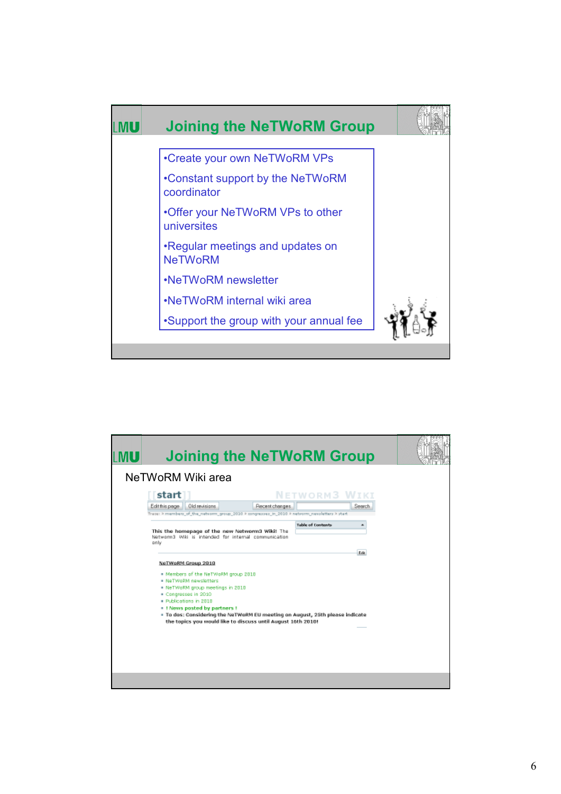

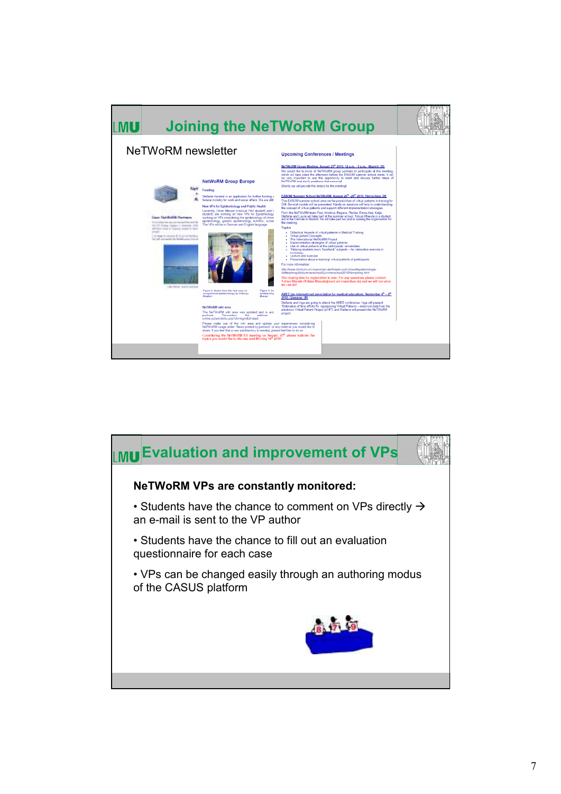